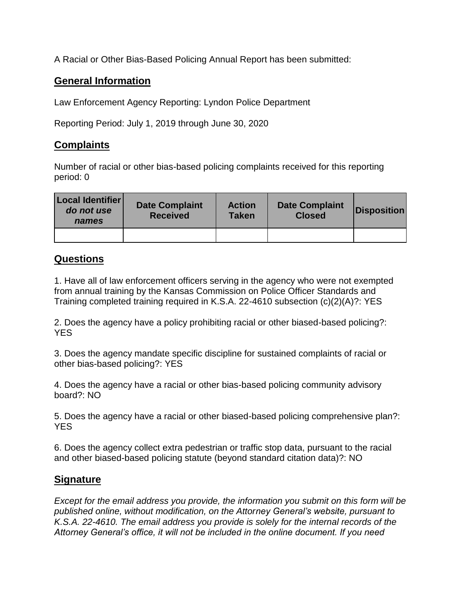A Racial or Other Bias-Based Policing Annual Report has been submitted:

## **General Information**

Law Enforcement Agency Reporting: Lyndon Police Department

Reporting Period: July 1, 2019 through June 30, 2020

## **Complaints**

Number of racial or other bias-based policing complaints received for this reporting period: 0

| Local Identifier<br>do not use<br>names | <b>Date Complaint</b><br><b>Received</b> | <b>Action</b><br><b>Taken</b> | <b>Date Complaint</b><br><b>Closed</b> | <b>Disposition</b> |
|-----------------------------------------|------------------------------------------|-------------------------------|----------------------------------------|--------------------|
|                                         |                                          |                               |                                        |                    |

## **Questions**

1. Have all of law enforcement officers serving in the agency who were not exempted from annual training by the Kansas Commission on Police Officer Standards and Training completed training required in K.S.A. 22-4610 subsection (c)(2)(A)?: YES

2. Does the agency have a policy prohibiting racial or other biased-based policing?: YES

3. Does the agency mandate specific discipline for sustained complaints of racial or other bias-based policing?: YES

4. Does the agency have a racial or other bias-based policing community advisory board?: NO

5. Does the agency have a racial or other biased-based policing comprehensive plan?: **YES** 

6. Does the agency collect extra pedestrian or traffic stop data, pursuant to the racial and other biased-based policing statute (beyond standard citation data)?: NO

## **Signature**

*Except for the email address you provide, the information you submit on this form will be published online, without modification, on the Attorney General's website, pursuant to K.S.A. 22-4610. The email address you provide is solely for the internal records of the Attorney General's office, it will not be included in the online document. If you need*